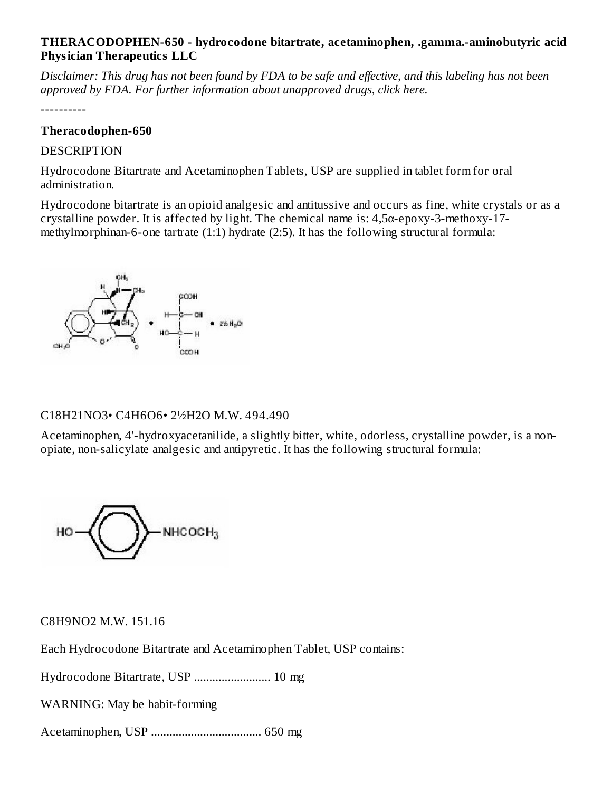#### **THERACODOPHEN-650 - hydrocodone bitartrate, acetaminophen, .gamma.-aminobutyric acid Physician Therapeutics LLC**

Disclaimer: This drug has not been found by FDA to be safe and effective, and this labeling has not been *approved by FDA. For further information about unapproved drugs, click here.*

----------

#### **Theracodophen-650**

#### DESCRIPTION

Hydrocodone Bitartrate and Acetaminophen Tablets, USP are supplied in tablet form for oral administration.

Hydrocodone bitartrate is an opioid analgesic and antitussive and occurs as fine, white crystals or as a crystalline powder. It is affected by light. The chemical name is: 4,5α-epoxy-3-methoxy-17 methylmorphinan-6-one tartrate (1:1) hydrate (2:5). It has the following structural formula:



#### C18H21NO3• C4H6O6• 2½H2O M.W. 494.490

Acetaminophen, 4'-hydroxyacetanilide, a slightly bitter, white, odorless, crystalline powder, is a nonopiate, non-salicylate analgesic and antipyretic. It has the following structural formula:



C8H9NO2 M.W. 151.16

Each Hydrocodone Bitartrate and Acetaminophen Tablet, USP contains:

Hydrocodone Bitartrate, USP ......................... 10 mg

WARNING: May be habit-forming

Acetaminophen, USP .................................... 650 mg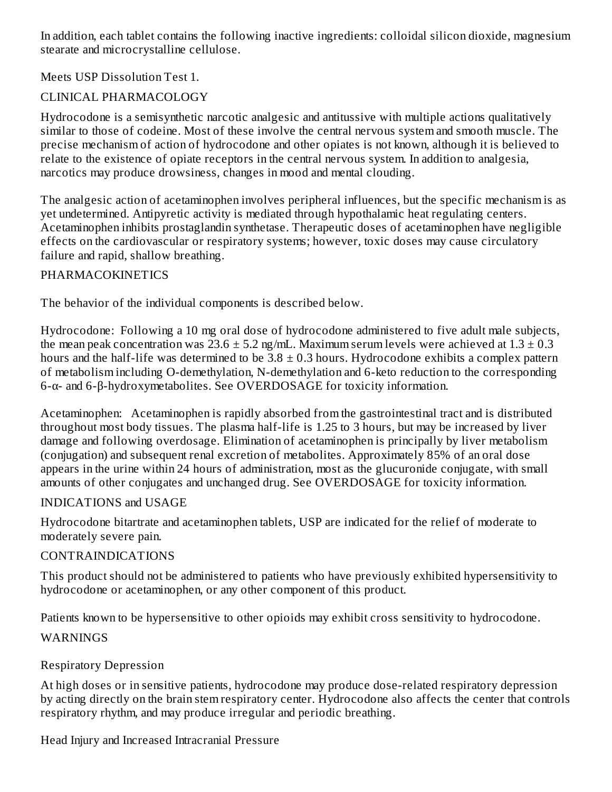In addition, each tablet contains the following inactive ingredients: colloidal silicon dioxide, magnesium stearate and microcrystalline cellulose.

Meets USP Dissolution Test 1.

#### CLINICAL PHARMACOLOGY

Hydrocodone is a semisynthetic narcotic analgesic and antitussive with multiple actions qualitatively similar to those of codeine. Most of these involve the central nervous system and smooth muscle. The precise mechanism of action of hydrocodone and other opiates is not known, although it is believed to relate to the existence of opiate receptors in the central nervous system. In addition to analgesia, narcotics may produce drowsiness, changes in mood and mental clouding.

The analgesic action of acetaminophen involves peripheral influences, but the specific mechanism is as yet undetermined. Antipyretic activity is mediated through hypothalamic heat regulating centers. Acetaminophen inhibits prostaglandin synthetase. Therapeutic doses of acetaminophen have negligible effects on the cardiovascular or respiratory systems; however, toxic doses may cause circulatory failure and rapid, shallow breathing.

#### PHARMACOKINETICS

The behavior of the individual components is described below.

Hydrocodone: Following a 10 mg oral dose of hydrocodone administered to five adult male subjects, the mean peak concentration was  $23.6 \pm 5.2$  ng/mL. Maximum serum levels were achieved at  $1.3 \pm 0.3$ hours and the half-life was determined to be  $3.8 \pm 0.3$  hours. Hydrocodone exhibits a complex pattern of metabolism including O-demethylation, N-demethylation and 6-keto reduction to the corresponding 6-α- and 6-β-hydroxymetabolites. See OVERDOSAGE for toxicity information.

Acetaminophen: Acetaminophen is rapidly absorbed from the gastrointestinal tract and is distributed throughout most body tissues. The plasma half-life is 1.25 to 3 hours, but may be increased by liver damage and following overdosage. Elimination of acetaminophen is principally by liver metabolism (conjugation) and subsequent renal excretion of metabolites. Approximately 85% of an oral dose appears in the urine within 24 hours of administration, most as the glucuronide conjugate, with small amounts of other conjugates and unchanged drug. See OVERDOSAGE for toxicity information.

#### INDICATIONS and USAGE

Hydrocodone bitartrate and acetaminophen tablets, USP are indicated for the relief of moderate to moderately severe pain.

#### CONTRAINDICATIONS

This product should not be administered to patients who have previously exhibited hypersensitivity to hydrocodone or acetaminophen, or any other component of this product.

Patients known to be hypersensitive to other opioids may exhibit cross sensitivity to hydrocodone.

#### WARNINGS

#### Respiratory Depression

At high doses or in sensitive patients, hydrocodone may produce dose-related respiratory depression by acting directly on the brain stem respiratory center. Hydrocodone also affects the center that controls respiratory rhythm, and may produce irregular and periodic breathing.

Head Injury and Increased Intracranial Pressure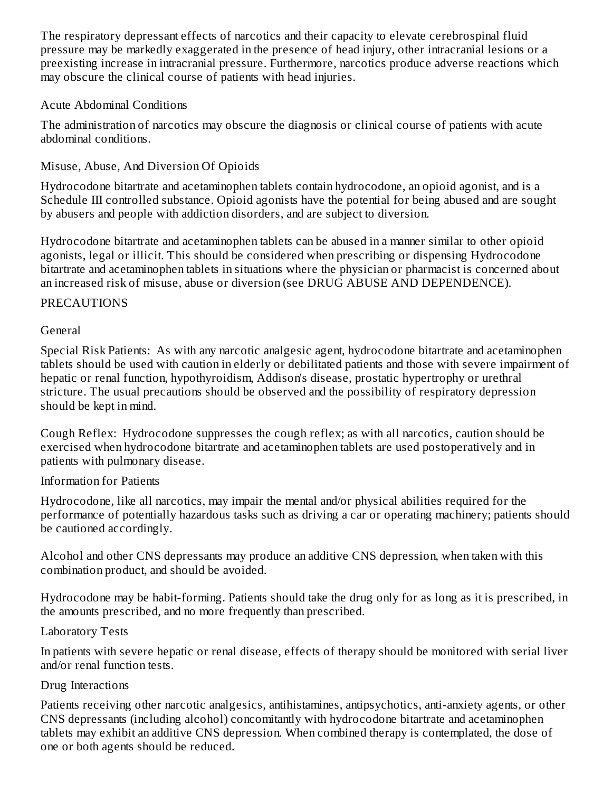The respiratory depressant effects of narcotics and their capacity to elevate cerebrospinal fluid pressure may be markedly exaggerated in the presence of head injury, other intracranial lesions or a preexisting increase in intracranial pressure. Furthermore, narcotics produce adverse reactions which may obscure the clinical course of patients with head injuries.

#### Acute Abdominal Conditions

The administration of narcotics may obscure the diagnosis or clinical course of patients with acute abdominal conditions.

#### Misuse, Abuse, And Diversion Of Opioids

Hydrocodone bitartrate and acetaminophen tablets contain hydrocodone, an opioid agonist, and is a Schedule III controlled substance. Opioid agonists have the potential for being abused and are sought by abusers and people with addiction disorders, and are subject to diversion.

Hydrocodone bitartrate and acetaminophen tablets can be abused in a manner similar to other opioid agonists, legal or illicit. This should be considered when prescribing or dispensing Hydrocodone bitartrate and acetaminophen tablets in situations where the physician or pharmacist is concerned about an increased risk of misuse, abuse or diversion (see DRUG ABUSE AND DEPENDENCE).

#### PRECAUTIONS

#### General

Special Risk Patients: As with any narcotic analgesic agent, hydrocodone bitartrate and acetaminophen tablets should be used with caution in elderly or debilitated patients and those with severe impairment of hepatic or renal function, hypothyroidism, Addison's disease, prostatic hypertrophy or urethral stricture. The usual precautions should be observed and the possibility of respiratory depression should be kept in mind.

Cough Reflex: Hydrocodone suppresses the cough reflex; as with all narcotics, caution should be exercised when hydrocodone bitartrate and acetaminophen tablets are used postoperatively and in patients with pulmonary disease.

#### Information for Patients

Hydrocodone, like all narcotics, may impair the mental and/or physical abilities required for the performance of potentially hazardous tasks such as driving a car or operating machinery; patients should be cautioned accordingly.

Alcohol and other CNS depressants may produce an additive CNS depression, when taken with this combination product, and should be avoided.

Hydrocodone may be habit-forming. Patients should take the drug only for as long as it is prescribed, in the amounts prescribed, and no more frequently than prescribed.

#### Laboratory Tests

In patients with severe hepatic or renal disease, effects of therapy should be monitored with serial liver and/or renal function tests.

#### Drug Interactions

Patients receiving other narcotic analgesics, antihistamines, antipsychotics, anti-anxiety agents, or other CNS depressants (including alcohol) concomitantly with hydrocodone bitartrate and acetaminophen tablets may exhibit an additive CNS depression. When combined therapy is contemplated, the dose of one or both agents should be reduced.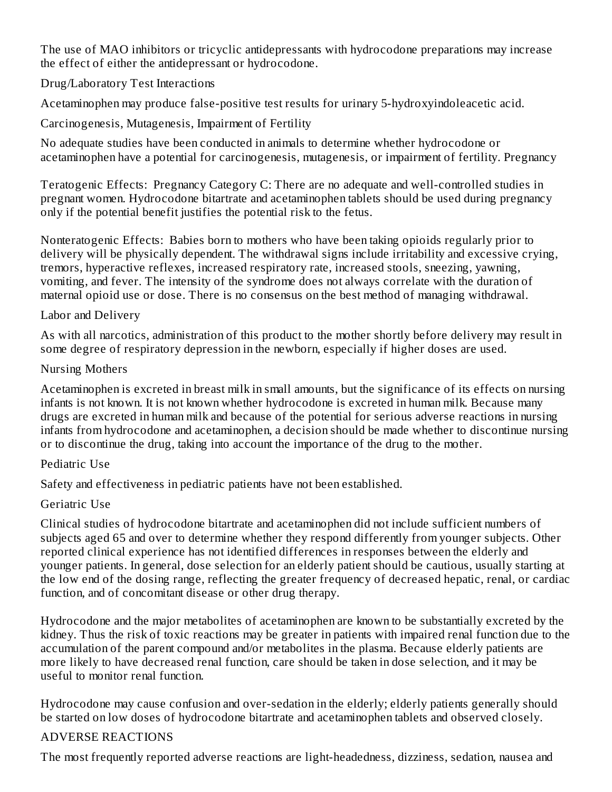The use of MAO inhibitors or tricyclic antidepressants with hydrocodone preparations may increase the effect of either the antidepressant or hydrocodone.

#### Drug/Laboratory Test Interactions

Acetaminophen may produce false-positive test results for urinary 5-hydroxyindoleacetic acid.

#### Carcinogenesis, Mutagenesis, Impairment of Fertility

No adequate studies have been conducted in animals to determine whether hydrocodone or acetaminophen have a potential for carcinogenesis, mutagenesis, or impairment of fertility. Pregnancy

Teratogenic Effects: Pregnancy Category C: There are no adequate and well-controlled studies in pregnant women. Hydrocodone bitartrate and acetaminophen tablets should be used during pregnancy only if the potential benefit justifies the potential risk to the fetus.

Nonteratogenic Effects: Babies born to mothers who have been taking opioids regularly prior to delivery will be physically dependent. The withdrawal signs include irritability and excessive crying, tremors, hyperactive reflexes, increased respiratory rate, increased stools, sneezing, yawning, vomiting, and fever. The intensity of the syndrome does not always correlate with the duration of maternal opioid use or dose. There is no consensus on the best method of managing withdrawal.

#### Labor and Delivery

As with all narcotics, administration of this product to the mother shortly before delivery may result in some degree of respiratory depression in the newborn, especially if higher doses are used.

#### Nursing Mothers

Acetaminophen is excreted in breast milk in small amounts, but the significance of its effects on nursing infants is not known. It is not known whether hydrocodone is excreted in human milk. Because many drugs are excreted in human milk and because of the potential for serious adverse reactions in nursing infants from hydrocodone and acetaminophen, a decision should be made whether to discontinue nursing or to discontinue the drug, taking into account the importance of the drug to the mother.

#### Pediatric Use

Safety and effectiveness in pediatric patients have not been established.

#### Geriatric Use

Clinical studies of hydrocodone bitartrate and acetaminophen did not include sufficient numbers of subjects aged 65 and over to determine whether they respond differently from younger subjects. Other reported clinical experience has not identified differences in responses between the elderly and younger patients. In general, dose selection for an elderly patient should be cautious, usually starting at the low end of the dosing range, reflecting the greater frequency of decreased hepatic, renal, or cardiac function, and of concomitant disease or other drug therapy.

Hydrocodone and the major metabolites of acetaminophen are known to be substantially excreted by the kidney. Thus the risk of toxic reactions may be greater in patients with impaired renal function due to the accumulation of the parent compound and/or metabolites in the plasma. Because elderly patients are more likely to have decreased renal function, care should be taken in dose selection, and it may be useful to monitor renal function.

Hydrocodone may cause confusion and over-sedation in the elderly; elderly patients generally should be started on low doses of hydrocodone bitartrate and acetaminophen tablets and observed closely.

#### ADVERSE REACTIONS

The most frequently reported adverse reactions are light-headedness, dizziness, sedation, nausea and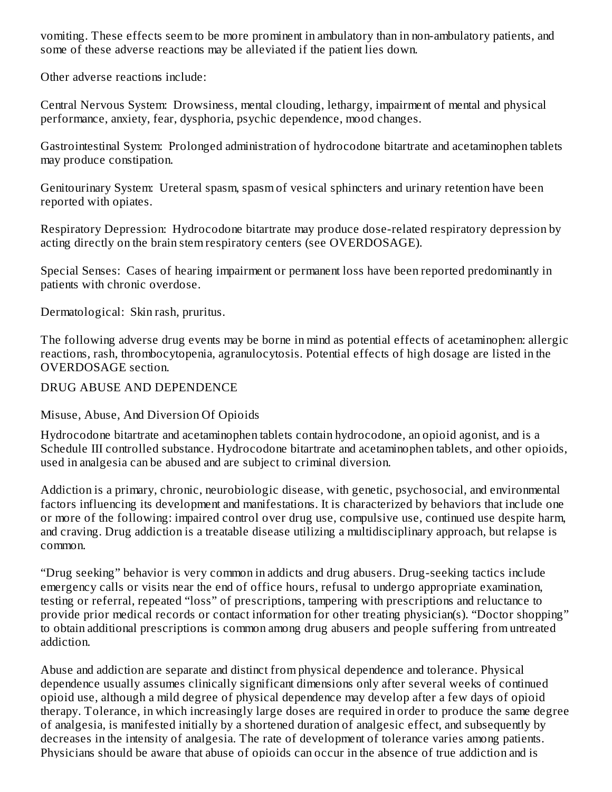vomiting. These effects seem to be more prominent in ambulatory than in non-ambulatory patients, and some of these adverse reactions may be alleviated if the patient lies down.

Other adverse reactions include:

Central Nervous System: Drowsiness, mental clouding, lethargy, impairment of mental and physical performance, anxiety, fear, dysphoria, psychic dependence, mood changes.

Gastrointestinal System: Prolonged administration of hydrocodone bitartrate and acetaminophen tablets may produce constipation.

Genitourinary System: Ureteral spasm, spasm of vesical sphincters and urinary retention have been reported with opiates.

Respiratory Depression: Hydrocodone bitartrate may produce dose-related respiratory depression by acting directly on the brain stem respiratory centers (see OVERDOSAGE).

Special Senses: Cases of hearing impairment or permanent loss have been reported predominantly in patients with chronic overdose.

Dermatological: Skin rash, pruritus.

The following adverse drug events may be borne in mind as potential effects of acetaminophen: allergic reactions, rash, thrombocytopenia, agranulocytosis. Potential effects of high dosage are listed in the OVERDOSAGE section.

#### DRUG ABUSE AND DEPENDENCE

#### Misuse, Abuse, And Diversion Of Opioids

Hydrocodone bitartrate and acetaminophen tablets contain hydrocodone, an opioid agonist, and is a Schedule III controlled substance. Hydrocodone bitartrate and acetaminophen tablets, and other opioids, used in analgesia can be abused and are subject to criminal diversion.

Addiction is a primary, chronic, neurobiologic disease, with genetic, psychosocial, and environmental factors influencing its development and manifestations. It is characterized by behaviors that include one or more of the following: impaired control over drug use, compulsive use, continued use despite harm, and craving. Drug addiction is a treatable disease utilizing a multidisciplinary approach, but relapse is common.

"Drug seeking" behavior is very common in addicts and drug abusers. Drug-seeking tactics include emergency calls or visits near the end of office hours, refusal to undergo appropriate examination, testing or referral, repeated "loss" of prescriptions, tampering with prescriptions and reluctance to provide prior medical records or contact information for other treating physician(s). "Doctor shopping" to obtain additional prescriptions is common among drug abusers and people suffering from untreated addiction.

Abuse and addiction are separate and distinct from physical dependence and tolerance. Physical dependence usually assumes clinically significant dimensions only after several weeks of continued opioid use, although a mild degree of physical dependence may develop after a few days of opioid therapy. Tolerance, in which increasingly large doses are required in order to produce the same degree of analgesia, is manifested initially by a shortened duration of analgesic effect, and subsequently by decreases in the intensity of analgesia. The rate of development of tolerance varies among patients. Physicians should be aware that abuse of opioids can occur in the absence of true addiction and is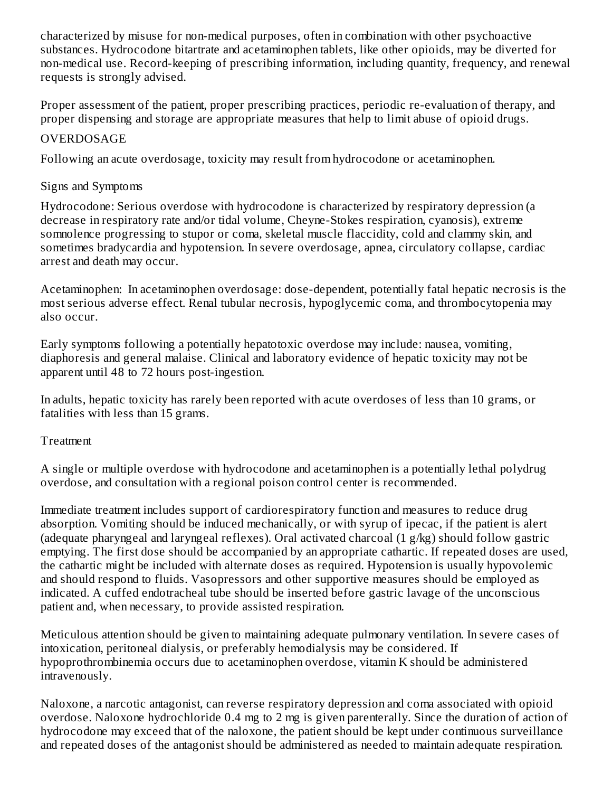characterized by misuse for non-medical purposes, often in combination with other psychoactive substances. Hydrocodone bitartrate and acetaminophen tablets, like other opioids, may be diverted for non-medical use. Record-keeping of prescribing information, including quantity, frequency, and renewal requests is strongly advised.

Proper assessment of the patient, proper prescribing practices, periodic re-evaluation of therapy, and proper dispensing and storage are appropriate measures that help to limit abuse of opioid drugs.

#### **OVERDOSAGE**

Following an acute overdosage, toxicity may result from hydrocodone or acetaminophen.

#### Signs and Symptoms

Hydrocodone: Serious overdose with hydrocodone is characterized by respiratory depression (a decrease in respiratory rate and/or tidal volume, Cheyne-Stokes respiration, cyanosis), extreme somnolence progressing to stupor or coma, skeletal muscle flaccidity, cold and clammy skin, and sometimes bradycardia and hypotension. In severe overdosage, apnea, circulatory collapse, cardiac arrest and death may occur.

Acetaminophen: In acetaminophen overdosage: dose-dependent, potentially fatal hepatic necrosis is the most serious adverse effect. Renal tubular necrosis, hypoglycemic coma, and thrombocytopenia may also occur.

Early symptoms following a potentially hepatotoxic overdose may include: nausea, vomiting, diaphoresis and general malaise. Clinical and laboratory evidence of hepatic toxicity may not be apparent until 48 to 72 hours post-ingestion.

In adults, hepatic toxicity has rarely been reported with acute overdoses of less than 10 grams, or fatalities with less than 15 grams.

#### **Treatment**

A single or multiple overdose with hydrocodone and acetaminophen is a potentially lethal polydrug overdose, and consultation with a regional poison control center is recommended.

Immediate treatment includes support of cardiorespiratory function and measures to reduce drug absorption. Vomiting should be induced mechanically, or with syrup of ipecac, if the patient is alert (adequate pharyngeal and laryngeal reflexes). Oral activated charcoal (1 g/kg) should follow gastric emptying. The first dose should be accompanied by an appropriate cathartic. If repeated doses are used, the cathartic might be included with alternate doses as required. Hypotension is usually hypovolemic and should respond to fluids. Vasopressors and other supportive measures should be employed as indicated. A cuffed endotracheal tube should be inserted before gastric lavage of the unconscious patient and, when necessary, to provide assisted respiration.

Meticulous attention should be given to maintaining adequate pulmonary ventilation. In severe cases of intoxication, peritoneal dialysis, or preferably hemodialysis may be considered. If hypoprothrombinemia occurs due to acetaminophen overdose, vitamin K should be administered intravenously.

Naloxone, a narcotic antagonist, can reverse respiratory depression and coma associated with opioid overdose. Naloxone hydrochloride 0.4 mg to 2 mg is given parenterally. Since the duration of action of hydrocodone may exceed that of the naloxone, the patient should be kept under continuous surveillance and repeated doses of the antagonist should be administered as needed to maintain adequate respiration.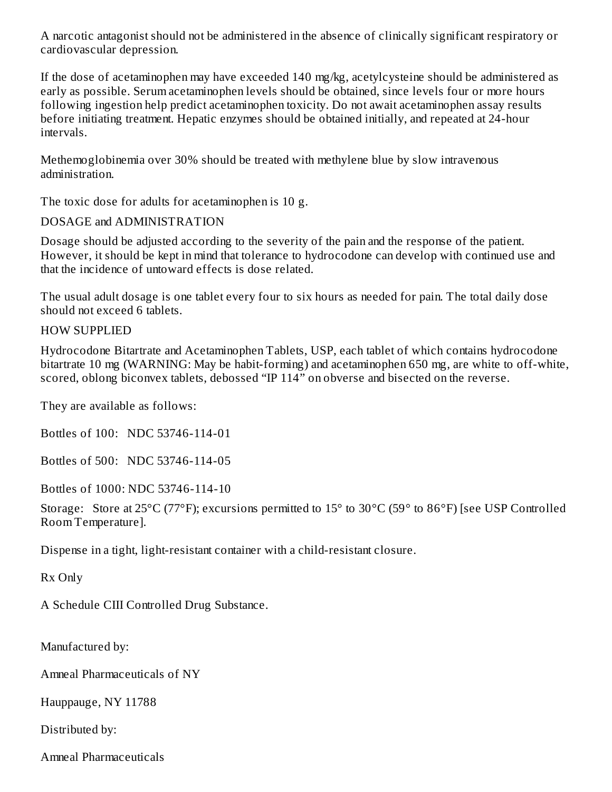A narcotic antagonist should not be administered in the absence of clinically significant respiratory or cardiovascular depression.

If the dose of acetaminophen may have exceeded 140 mg/kg, acetylcysteine should be administered as early as possible. Serum acetaminophen levels should be obtained, since levels four or more hours following ingestion help predict acetaminophen toxicity. Do not await acetaminophen assay results before initiating treatment. Hepatic enzymes should be obtained initially, and repeated at 24-hour intervals.

Methemoglobinemia over 30% should be treated with methylene blue by slow intravenous administration.

The toxic dose for adults for acetaminophen is 10 g.

#### DOSAGE and ADMINISTRATION

Dosage should be adjusted according to the severity of the pain and the response of the patient. However, it should be kept in mind that tolerance to hydrocodone can develop with continued use and that the incidence of untoward effects is dose related.

The usual adult dosage is one tablet every four to six hours as needed for pain. The total daily dose should not exceed 6 tablets.

#### HOW SUPPLIED

Hydrocodone Bitartrate and Acetaminophen Tablets, USP, each tablet of which contains hydrocodone bitartrate 10 mg (WARNING: May be habit-forming) and acetaminophen 650 mg, are white to off-white, scored, oblong biconvex tablets, debossed "IP 114" on obverse and bisected on the reverse.

They are available as follows:

Bottles of 100: NDC 53746-114-01

Bottles of 500: NDC 53746-114-05

Bottles of 1000: NDC 53746-114-10

Storage: Store at 25°C (77°F); excursions permitted to 15° to 30°C (59° to 86°F) [see USP Controlled Room Temperature].

Dispense in a tight, light-resistant container with a child-resistant closure.

Rx Only

A Schedule CIII Controlled Drug Substance.

Manufactured by:

Amneal Pharmaceuticals of NY

Hauppauge, NY 11788

Distributed by:

Amneal Pharmaceuticals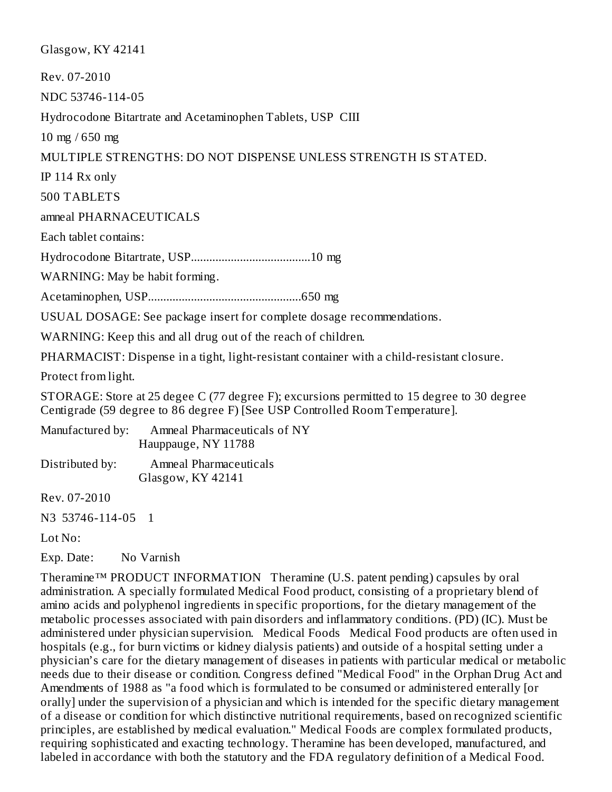Glasgow, KY 42141 Rev. 07-2010 NDC 53746-114-05 Hydrocodone Bitartrate and Acetaminophen Tablets, USP CIII 10 mg / 650 mg MULTIPLE STRENGTHS: DO NOT DISPENSE UNLESS STRENGTH IS STATED. IP 114 Rx only 500 TABLETS amneal PHARNACEUTICALS Each tablet contains: Hydrocodone Bitartrate, USP.......................................10 mg WARNING: May be habit forming. Acetaminophen, USP..................................................650 mg USUAL DOSAGE: See package insert for complete dosage recommendations. WARNING: Keep this and all drug out of the reach of children. PHARMACIST: Dispense in a tight, light-resistant container with a child-resistant closure. Protect from light. STORAGE: Store at 25 degee C (77 degree F); excursions permitted to 15 degree to 30 degree Centigrade (59 degree to 86 degree F) [See USP Controlled Room Temperature]. Manufactured by: Amneal Pharmaceuticals of NY Hauppauge, NY 11788 Distributed by: Amneal Pharmaceuticals Glasgow, KY 42141 Rev. 07-2010 N3 53746-114-05 1

Lot No:

Exp. Date: No Varnish

Theramine™ PRODUCT INFORMATION Theramine (U.S. patent pending) capsules by oral administration. A specially formulated Medical Food product, consisting of a proprietary blend of amino acids and polyphenol ingredients in specific proportions, for the dietary management of the metabolic processes associated with pain disorders and inflammatory conditions. (PD) (IC). Must be administered under physician supervision. Medical Foods Medical Food products are often used in hospitals (e.g., for burn victims or kidney dialysis patients) and outside of a hospital setting under a physician's care for the dietary management of diseases in patients with particular medical or metabolic needs due to their disease or condition. Congress defined "Medical Food" in the Orphan Drug Act and Amendments of 1988 as "a food which is formulated to be consumed or administered enterally [or orally] under the supervision of a physician and which is intended for the specific dietary management of a disease or condition for which distinctive nutritional requirements, based on recognized scientific principles, are established by medical evaluation." Medical Foods are complex formulated products, requiring sophisticated and exacting technology. Theramine has been developed, manufactured, and labeled in accordance with both the statutory and the FDA regulatory definition of a Medical Food.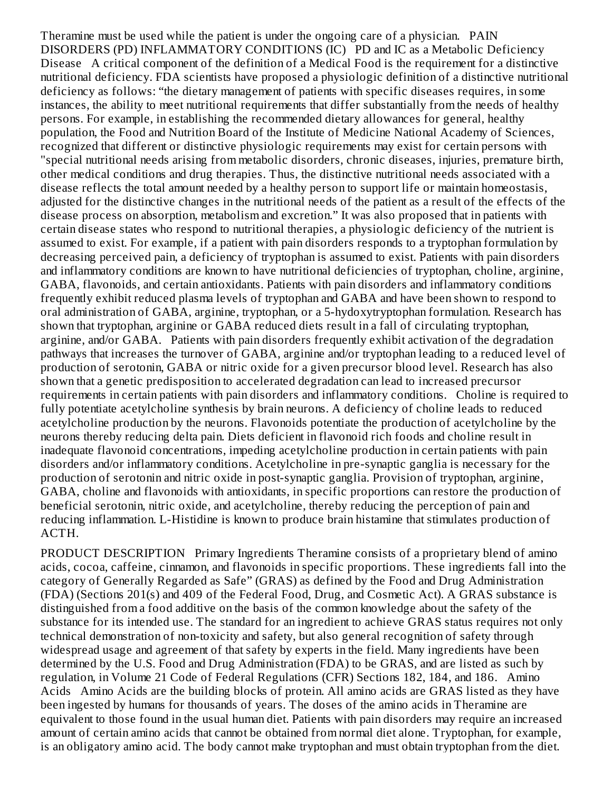Theramine must be used while the patient is under the ongoing care of a physician. PAIN DISORDERS (PD) INFLAMMATORY CONDITIONS (IC) PD and IC as a Metabolic Deficiency Disease A critical component of the definition of a Medical Food is the requirement for a distinctive nutritional deficiency. FDA scientists have proposed a physiologic definition of a distinctive nutritional deficiency as follows: "the dietary management of patients with specific diseases requires, in some instances, the ability to meet nutritional requirements that differ substantially from the needs of healthy persons. For example, in establishing the recommended dietary allowances for general, healthy population, the Food and Nutrition Board of the Institute of Medicine National Academy of Sciences, recognized that different or distinctive physiologic requirements may exist for certain persons with "special nutritional needs arising from metabolic disorders, chronic diseases, injuries, premature birth, other medical conditions and drug therapies. Thus, the distinctive nutritional needs associated with a disease reflects the total amount needed by a healthy person to support life or maintain homeostasis, adjusted for the distinctive changes in the nutritional needs of the patient as a result of the effects of the disease process on absorption, metabolism and excretion." It was also proposed that in patients with certain disease states who respond to nutritional therapies, a physiologic deficiency of the nutrient is assumed to exist. For example, if a patient with pain disorders responds to a tryptophan formulation by decreasing perceived pain, a deficiency of tryptophan is assumed to exist. Patients with pain disorders and inflammatory conditions are known to have nutritional deficiencies of tryptophan, choline, arginine, GABA, flavonoids, and certain antioxidants. Patients with pain disorders and inflammatory conditions frequently exhibit reduced plasma levels of tryptophan and GABA and have been shown to respond to oral administration of GABA, arginine, tryptophan, or a 5-hydoxytryptophan formulation. Research has shown that tryptophan, arginine or GABA reduced diets result in a fall of circulating tryptophan, arginine, and/or GABA. Patients with pain disorders frequently exhibit activation of the degradation pathways that increases the turnover of GABA, arginine and/or tryptophan leading to a reduced level of production of serotonin, GABA or nitric oxide for a given precursor blood level. Research has also shown that a genetic predisposition to accelerated degradation can lead to increased precursor requirements in certain patients with pain disorders and inflammatory conditions. Choline is required to fully potentiate acetylcholine synthesis by brain neurons. A deficiency of choline leads to reduced acetylcholine production by the neurons. Flavonoids potentiate the production of acetylcholine by the neurons thereby reducing delta pain. Diets deficient in flavonoid rich foods and choline result in inadequate flavonoid concentrations, impeding acetylcholine production in certain patients with pain disorders and/or inflammatory conditions. Acetylcholine in pre-synaptic ganglia is necessary for the production of serotonin and nitric oxide in post-synaptic ganglia. Provision of tryptophan, arginine, GABA, choline and flavonoids with antioxidants, in specific proportions can restore the production of beneficial serotonin, nitric oxide, and acetylcholine, thereby reducing the perception of pain and reducing inflammation. L-Histidine is known to produce brain histamine that stimulates production of ACTH.

PRODUCT DESCRIPTION Primary Ingredients Theramine consists of a proprietary blend of amino acids, cocoa, caffeine, cinnamon, and flavonoids in specific proportions. These ingredients fall into the category of Generally Regarded as Safe" (GRAS) as defined by the Food and Drug Administration (FDA) (Sections 201(s) and 409 of the Federal Food, Drug, and Cosmetic Act). A GRAS substance is distinguished from a food additive on the basis of the common knowledge about the safety of the substance for its intended use. The standard for an ingredient to achieve GRAS status requires not only technical demonstration of non-toxicity and safety, but also general recognition of safety through widespread usage and agreement of that safety by experts in the field. Many ingredients have been determined by the U.S. Food and Drug Administration (FDA) to be GRAS, and are listed as such by regulation, in Volume 21 Code of Federal Regulations (CFR) Sections 182, 184, and 186. Amino Acids Amino Acids are the building blocks of protein. All amino acids are GRAS listed as they have been ingested by humans for thousands of years. The doses of the amino acids in Theramine are equivalent to those found in the usual human diet. Patients with pain disorders may require an increased amount of certain amino acids that cannot be obtained from normal diet alone. Tryptophan, for example, is an obligatory amino acid. The body cannot make tryptophan and must obtain tryptophan from the diet.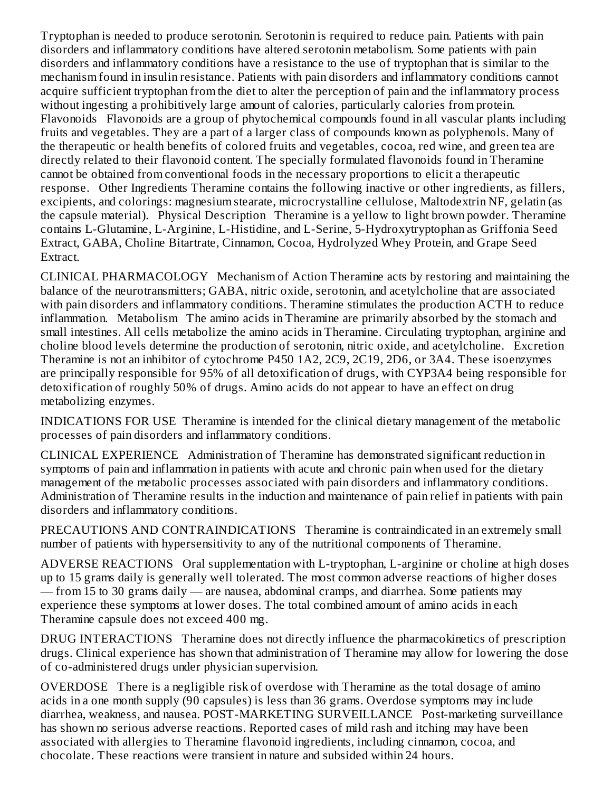Tryptophan is needed to produce serotonin. Serotonin is required to reduce pain. Patients with pain disorders and inflammatory conditions have altered serotonin metabolism. Some patients with pain disorders and inflammatory conditions have a resistance to the use of tryptophan that is similar to the mechanism found in insulin resistance. Patients with pain disorders and inflammatory conditions cannot acquire sufficient tryptophan from the diet to alter the perception of pain and the inflammatory process without ingesting a prohibitively large amount of calories, particularly calories from protein. Flavonoids Flavonoids are a group of phytochemical compounds found in all vascular plants including fruits and vegetables. They are a part of a larger class of compounds known as polyphenols. Many of the therapeutic or health benefits of colored fruits and vegetables, cocoa, red wine, and green tea are directly related to their flavonoid content. The specially formulated flavonoids found in Theramine cannot be obtained from conventional foods in the necessary proportions to elicit a therapeutic response. Other Ingredients Theramine contains the following inactive or other ingredients, as fillers, excipients, and colorings: magnesium stearate, microcrystalline cellulose, Maltodextrin NF, gelatin (as the capsule material). Physical Description Theramine is a yellow to light brown powder. Theramine contains L-Glutamine, L-Arginine, L-Histidine, and L-Serine, 5-Hydroxytryptophan as Griffonia Seed Extract, GABA, Choline Bitartrate, Cinnamon, Cocoa, Hydrolyzed Whey Protein, and Grape Seed Extract.

CLINICAL PHARMACOLOGY Mechanism of Action Theramine acts by restoring and maintaining the balance of the neurotransmitters; GABA, nitric oxide, serotonin, and acetylcholine that are associated with pain disorders and inflammatory conditions. Theramine stimulates the production ACTH to reduce inflammation. Metabolism The amino acids in Theramine are primarily absorbed by the stomach and small intestines. All cells metabolize the amino acids in Theramine. Circulating tryptophan, arginine and choline blood levels determine the production of serotonin, nitric oxide, and acetylcholine. Excretion Theramine is not an inhibitor of cytochrome P450 1A2, 2C9, 2C19, 2D6, or 3A4. These isoenzymes are principally responsible for 95% of all detoxification of drugs, with CYP3A4 being responsible for detoxification of roughly 50% of drugs. Amino acids do not appear to have an effect on drug metabolizing enzymes.

INDICATIONS FOR USE Theramine is intended for the clinical dietary management of the metabolic processes of pain disorders and inflammatory conditions.

CLINICAL EXPERIENCE Administration of Theramine has demonstrated significant reduction in symptoms of pain and inflammation in patients with acute and chronic pain when used for the dietary management of the metabolic processes associated with pain disorders and inflammatory conditions. Administration of Theramine results in the induction and maintenance of pain relief in patients with pain disorders and inflammatory conditions.

PRECAUTIONS AND CONTRAINDICATIONS Theramine is contraindicated in an extremely small number of patients with hypersensitivity to any of the nutritional components of Theramine.

ADVERSE REACTIONS Oral supplementation with L-tryptophan, L-arginine or choline at high doses up to 15 grams daily is generally well tolerated. The most common adverse reactions of higher doses — from 15 to 30 grams daily — are nausea, abdominal cramps, and diarrhea. Some patients may experience these symptoms at lower doses. The total combined amount of amino acids in each Theramine capsule does not exceed 400 mg.

DRUG INTERACTIONS Theramine does not directly influence the pharmacokinetics of prescription drugs. Clinical experience has shown that administration of Theramine may allow for lowering the dose of co-administered drugs under physician supervision.

OVERDOSE There is a negligible risk of overdose with Theramine as the total dosage of amino acids in a one month supply (90 capsules) is less than 36 grams. Overdose symptoms may include diarrhea, weakness, and nausea. POST-MARKETING SURVEILLANCE Post-marketing surveillance has shown no serious adverse reactions. Reported cases of mild rash and itching may have been associated with allergies to Theramine flavonoid ingredients, including cinnamon, cocoa, and chocolate. These reactions were transient in nature and subsided within 24 hours.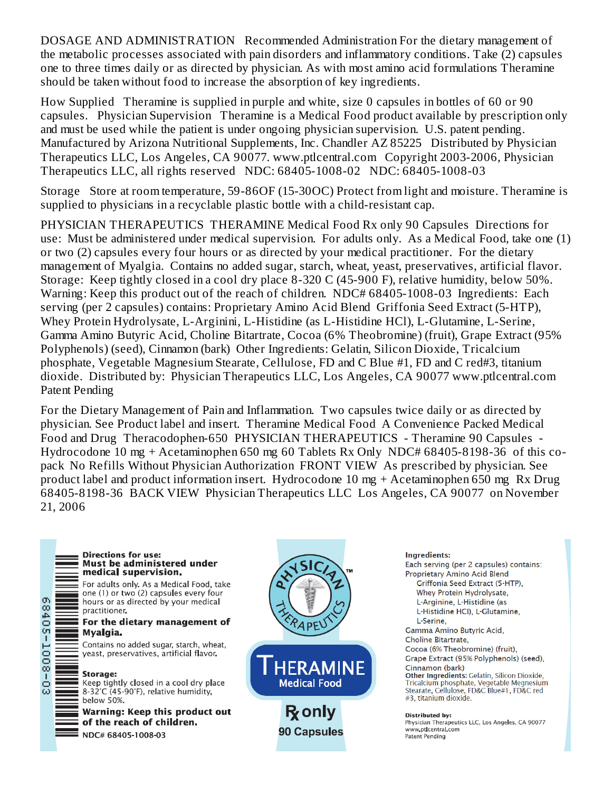DOSAGE AND ADMINISTRATION Recommended Administration For the dietary management of the metabolic processes associated with pain disorders and inflammatory conditions. Take (2) capsules one to three times daily or as directed by physician. As with most amino acid formulations Theramine should be taken without food to increase the absorption of key ingredients.

How Supplied Theramine is supplied in purple and white, size 0 capsules in bottles of 60 or 90 capsules. Physician Supervision Theramine is a Medical Food product available by prescription only and must be used while the patient is under ongoing physician supervision. U.S. patent pending. Manufactured by Arizona Nutritional Supplements, Inc. Chandler AZ 85225 Distributed by Physician Therapeutics LLC, Los Angeles, CA 90077. www.ptlcentral.com Copyright 2003-2006, Physician Therapeutics LLC, all rights reserved NDC: 68405-1008-02 NDC: 68405-1008-03

Storage Store at room temperature, 59-86OF (15-30OC) Protect from light and moisture. Theramine is supplied to physicians in a recyclable plastic bottle with a child-resistant cap.

PHYSICIAN THERAPEUTICS THERAMINE Medical Food Rx only 90 Capsules Directions for use: Must be administered under medical supervision. For adults only. As a Medical Food, take one (1) or two (2) capsules every four hours or as directed by your medical practitioner. For the dietary management of Myalgia. Contains no added sugar, starch, wheat, yeast, preservatives, artificial flavor. Storage: Keep tightly closed in a cool dry place 8-320 C (45-900 F), relative humidity, below 50%. Warning: Keep this product out of the reach of children. NDC# 68405-1008-03 Ingredients: Each serving (per 2 capsules) contains: Proprietary Amino Acid Blend Griffonia Seed Extract (5-HTP), Whey Protein Hydrolysate, L-Arginini, L-Histidine (as L-Histidine HCl), L-Glutamine, L-Serine, Gamma Amino Butyric Acid, Choline Bitartrate, Cocoa (6% Theobromine) (fruit), Grape Extract (95% Polyphenols) (seed), Cinnamon (bark) Other Ingredients: Gelatin, Silicon Dioxide, Tricalcium phosphate, Vegetable Magnesium Stearate, Cellulose, FD and C Blue #1, FD and C red#3, titanium dioxide. Distributed by: Physician Therapeutics LLC, Los Angeles, CA 90077 www.ptlcentral.com Patent Pending

For the Dietary Management of Pain and Inflammation. Two capsules twice daily or as directed by physician. See Product label and insert. Theramine Medical Food A Convenience Packed Medical Food and Drug Theracodophen-650 PHYSICIAN THERAPEUTICS - Theramine 90 Capsules - Hydrocodone 10 mg + Acetaminophen 650 mg 60 Tablets Rx Only NDC# 68405-8198-36 of this copack No Refills Without Physician Authorization FRONT VIEW As prescribed by physician. See product label and product information insert. Hydrocodone 10 mg + Acetaminophen 650 mg Rx Drug 68405-8198-36 BACK VIEW Physician Therapeutics LLC Los Angeles, CA 90077 on November 21, 2006



**Ingredients:** Each serving (per 2 capsules) contains: Proprietary Amino Acid Blend Griffonia Seed Extract (5-HTP), Whey Protein Hydrolysate, L-Arginine, L-Histidine (as L-Histidine HCI), L-Glutamine, L-Serine, Gamma Amino Butyric Acid, Choline Bitartrate, Cocoa (6% Theobromine) (fruit), Grape Extract (95% Polyphenols) (seed), Cinnamon (bark) Other Ingredients: Gelatin, Silicon Dioxide, Tricalcium phosphate, Vegetable Megnesium Stearate, Cellulose, FD&C Blue#1, FD&C red #3. titanium dioxide. **Distributed by:** 

Physician Therapeutics LLC, Los Angeles, CA 90077 www.ptlcentral.com **Patent Pending**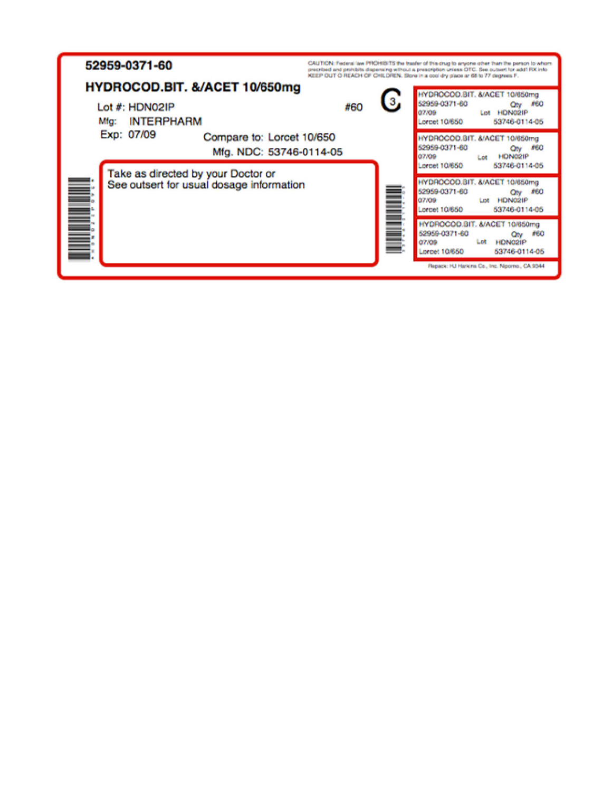| 52959-0371-60                                                                  | KEEP OUT O REACH OF CHILDREN. Store in a cool dry place an 68 to 77 degrees F. | CAUTION: Federal law PROHISITS the trader of this drug to anyone other than the person to whom<br>precribed and prohibits dispensing without a prescription unless OTC. See outsett for add1 RX info. |
|--------------------------------------------------------------------------------|--------------------------------------------------------------------------------|-------------------------------------------------------------------------------------------------------------------------------------------------------------------------------------------------------|
| HYDROCOD.BIT. &/ACET 10/650mg                                                  |                                                                                |                                                                                                                                                                                                       |
| Lot #: HDN02IP<br><b>INTERPHARM</b><br>Mig:                                    | 3,<br>#60                                                                      | HYDROCOO.BIT. &/ACET 10/650mg<br>52959-0371-60<br>#60<br>HDN02IP<br>07/09<br>Let<br>53746-0114-05<br>Lorcet 10/650                                                                                    |
| Exp: 07/09<br>Compare to: Lorcet 10/650<br>Mfg. NDC: 53746-0114-05             |                                                                                | HYDROCOO.BIT. &/ACET 10/650mg<br>52959-0371-60<br>#60<br>07/09<br>HDN02IP<br>Let<br>53746-0114-05<br>Lorcet 10/650                                                                                    |
| Take as directed by your Doctor or<br>See outsert for usual dosage information |                                                                                | HYDROCOO.BIT. &/ACET 10/650mg<br>52959-0371-60<br><b>PEO</b><br>07/09<br><b>HDN02IP</b><br>Let<br>Lorcet 10/650<br>53746-0114-05                                                                      |
|                                                                                |                                                                                | HYDROCOO.BIT. &/ACET 10/650mg<br>52959-0371-60<br>#60<br>07/09<br>Let<br><b>HDN02IP</b><br>Lorcet 10/650<br>53746-0114-05                                                                             |
|                                                                                |                                                                                | Repack: HJ Harkins Co., Inc. Nipomo., CA 9344                                                                                                                                                         |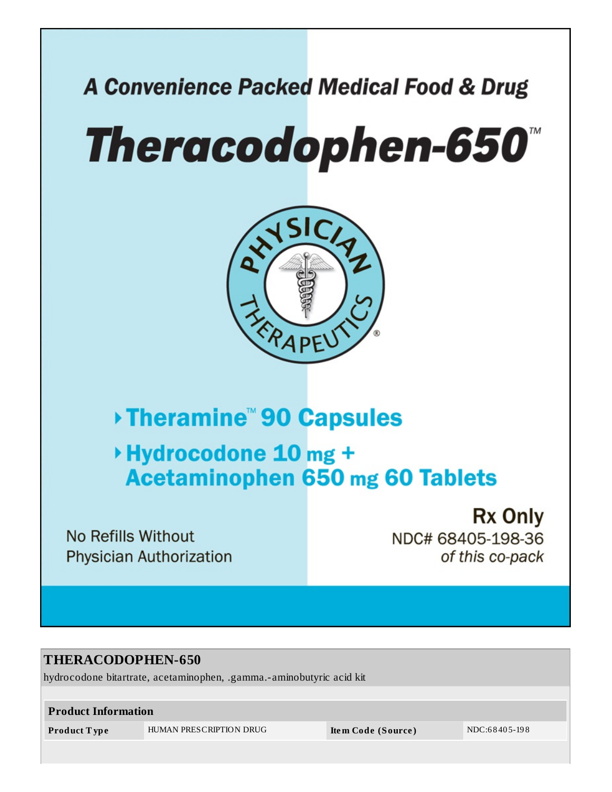## A Convenience Packed Medical Food & Drug

# Theracodophen-650™



## **▶ Theramine<sup>™</sup> 90 Capsules**  $\rightarrow$  Hydrocodone 10 mg + **Acetaminophen 650 mg 60 Tablets**

No Refills Without **Physician Authorization** 

**Rx Only** NDC# 68405-198-36 of this co-pack

#### **THERACODOPHEN-650**

hydrocodone bitartrate, acetaminophen, .gamma.-aminobutyric acid kit

#### **Product Information**

**Product T ype** HUMAN PRESCRIPTION DRUG **Ite m Code (Source )** NDC:6 8 40 5-19 8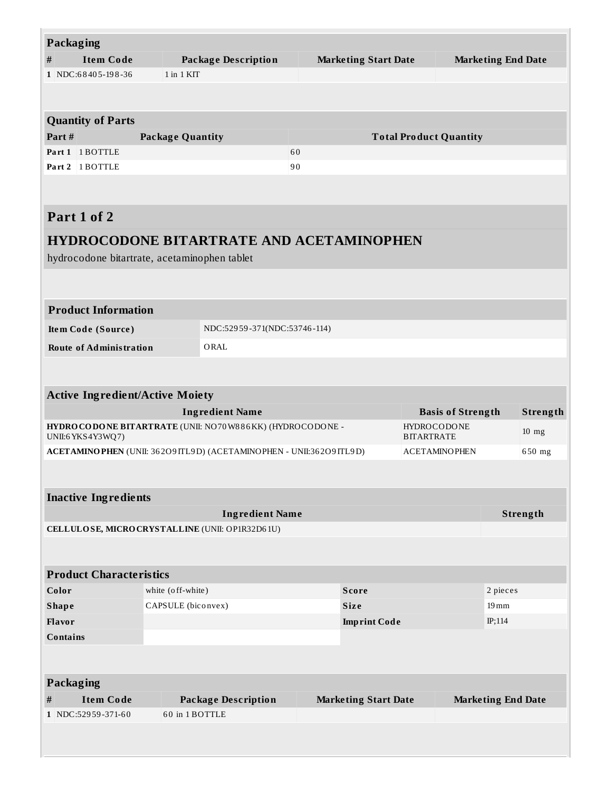| Packaging<br>$\#$<br><b>Item Code</b><br>1 NDC:68405-198-36                                                                                                                                     | $1$ in $1$ KIT                | <b>Package Description</b>        | <b>Marketing Start Date</b>                     |                                                                                             | <b>Marketing End Date</b>     |
|-------------------------------------------------------------------------------------------------------------------------------------------------------------------------------------------------|-------------------------------|-----------------------------------|-------------------------------------------------|---------------------------------------------------------------------------------------------|-------------------------------|
| <b>Quantity of Parts</b>                                                                                                                                                                        |                               |                                   |                                                 |                                                                                             |                               |
| Part#                                                                                                                                                                                           | <b>Package Quantity</b>       |                                   |                                                 | <b>Total Product Quantity</b>                                                               |                               |
| Part 1 1 BOTTLE<br>Part 2   1 BOTTLE                                                                                                                                                            |                               |                                   | 60<br>90                                        |                                                                                             |                               |
|                                                                                                                                                                                                 |                               |                                   |                                                 |                                                                                             |                               |
| Part 1 of 2                                                                                                                                                                                     |                               |                                   |                                                 |                                                                                             |                               |
| hydrocodone bitartrate, acetaminophen tablet                                                                                                                                                    |                               |                                   | <b>HYDROCODONE BITARTRATE AND ACETAMINOPHEN</b> |                                                                                             |                               |
| <b>Product Information</b>                                                                                                                                                                      |                               |                                   |                                                 |                                                                                             |                               |
| Item Code (Source)                                                                                                                                                                              |                               | NDC:52959-371(NDC:53746-114)      |                                                 |                                                                                             |                               |
| <b>Route of Administration</b>                                                                                                                                                                  |                               | ORAL                              |                                                 |                                                                                             |                               |
| <b>Active Ingredient/Active Moiety</b><br>HYDROCODONE BITARTRATE (UNII: NO70W886KK) (HYDROCODONE -<br>UNII:6 YKS4Y3WQ7)<br>ACETAMINO PHEN (UNII: 36209ITL9D) (ACETAMINO PHEN - UNII:36209ITL9D) |                               | <b>Ingredient Name</b>            |                                                 | <b>Basis of Strength</b><br><b>HYDROCODONE</b><br><b>BITARTRATE</b><br><b>ACETAMINOPHEN</b> | Strength<br>$10$ mg<br>650 mg |
| <b>Inactive Ingredients</b>                                                                                                                                                                     |                               |                                   |                                                 |                                                                                             |                               |
|                                                                                                                                                                                                 |                               | <b>Ingredient Name</b>            |                                                 |                                                                                             | Strength                      |
| CELLULOSE, MICRO CRYSTALLINE (UNII: OP1R32D61U)                                                                                                                                                 |                               |                                   |                                                 |                                                                                             |                               |
| <b>Product Characteristics</b>                                                                                                                                                                  |                               |                                   |                                                 |                                                                                             |                               |
| Color                                                                                                                                                                                           | white (off-white)             |                                   | <b>Score</b>                                    |                                                                                             | 2 pieces                      |
| <b>Shape</b>                                                                                                                                                                                    |                               | CAPSULE (biconvex)<br><b>Size</b> |                                                 |                                                                                             | $19 \,\mathrm{mm}$            |
| Flavor                                                                                                                                                                                          | IP;114<br><b>Imprint Code</b> |                                   |                                                 |                                                                                             |                               |
| <b>Contains</b><br><b>Packaging</b>                                                                                                                                                             |                               |                                   |                                                 |                                                                                             |                               |
| <b>Item Code</b><br>#                                                                                                                                                                           |                               | <b>Package Description</b>        | <b>Marketing Start Date</b>                     |                                                                                             | <b>Marketing End Date</b>     |
| 1 NDC:52959-371-60                                                                                                                                                                              | 60 in 1 BOTTLE                |                                   |                                                 |                                                                                             |                               |
|                                                                                                                                                                                                 |                               |                                   |                                                 |                                                                                             |                               |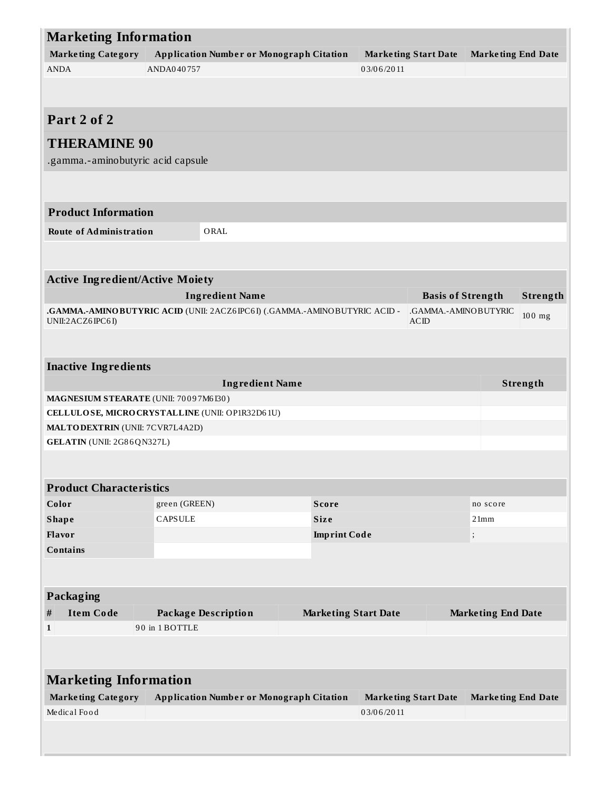| <b>Marketing Information</b>                                                                                                   |                                                 |                             |                             |                          |                           |          |
|--------------------------------------------------------------------------------------------------------------------------------|-------------------------------------------------|-----------------------------|-----------------------------|--------------------------|---------------------------|----------|
| <b>Marketing Category</b>                                                                                                      | <b>Application Number or Monograph Citation</b> |                             | <b>Marketing Start Date</b> |                          | <b>Marketing End Date</b> |          |
| <b>ANDA</b>                                                                                                                    | ANDA040757                                      |                             | 03/06/2011                  |                          |                           |          |
|                                                                                                                                |                                                 |                             |                             |                          |                           |          |
|                                                                                                                                |                                                 |                             |                             |                          |                           |          |
| Part 2 of 2                                                                                                                    |                                                 |                             |                             |                          |                           |          |
| <b>THERAMINE 90</b>                                                                                                            |                                                 |                             |                             |                          |                           |          |
| .gamma.-aminobutyric acid capsule                                                                                              |                                                 |                             |                             |                          |                           |          |
|                                                                                                                                |                                                 |                             |                             |                          |                           |          |
| <b>Product Information</b>                                                                                                     |                                                 |                             |                             |                          |                           |          |
| <b>Route of Administration</b>                                                                                                 | ORAL                                            |                             |                             |                          |                           |          |
|                                                                                                                                |                                                 |                             |                             |                          |                           |          |
|                                                                                                                                |                                                 |                             |                             |                          |                           |          |
| <b>Active Ingredient/Active Moiety</b>                                                                                         |                                                 |                             |                             |                          |                           |          |
|                                                                                                                                | <b>Ingredient Name</b>                          |                             |                             | <b>Basis of Strength</b> |                           | Strength |
| .GAMMA.-AMINO BUTYRIC ACID (UNII: 2ACZ6IPC6I) (.GAMMA.-AMINOBUTYRIC ACID -<br>.GAMMA.-AMINOBUTYRIC<br>UNII:2ACZ6IPC6I)<br>ACID |                                                 |                             |                             | $100$ mg                 |                           |          |
|                                                                                                                                |                                                 |                             |                             |                          |                           |          |
|                                                                                                                                |                                                 |                             |                             |                          |                           |          |
| <b>Inactive Ingredients</b>                                                                                                    |                                                 |                             |                             |                          |                           |          |
| <b>Ingredient Name</b><br>Strength                                                                                             |                                                 |                             |                             |                          |                           |          |
| MAGNESIUM STEARATE (UNII: 70097M6I30)                                                                                          |                                                 |                             |                             |                          |                           |          |
|                                                                                                                                | CELLULOSE, MICRO CRYSTALLINE (UNII: OP1R32D61U) |                             |                             |                          |                           |          |
| <b>MALTODEXTRIN</b> (UNII: 7CVR7L4A2D)                                                                                         |                                                 |                             |                             |                          |                           |          |
| GELATIN (UNII: 2G86QN327L)                                                                                                     |                                                 |                             |                             |                          |                           |          |
|                                                                                                                                |                                                 |                             |                             |                          |                           |          |
| <b>Product Characteristics</b>                                                                                                 |                                                 |                             |                             |                          |                           |          |
| Color                                                                                                                          | green (GREEN)                                   | <b>Score</b>                |                             |                          | no score                  |          |
| <b>Shape</b>                                                                                                                   | CAPSULE                                         | Size                        |                             |                          | 21mm                      |          |
| Flavor                                                                                                                         |                                                 | <b>Imprint Code</b>         |                             | $\vdots$                 |                           |          |
| <b>Contains</b>                                                                                                                |                                                 |                             |                             |                          |                           |          |
|                                                                                                                                |                                                 |                             |                             |                          |                           |          |
| <b>Packaging</b>                                                                                                               |                                                 |                             |                             |                          |                           |          |
| $\#$<br><b>Item Code</b>                                                                                                       | <b>Package Description</b>                      | <b>Marketing Start Date</b> |                             |                          | <b>Marketing End Date</b> |          |
| $\mathbf{1}$                                                                                                                   | 90 in 1 BOTTLE                                  |                             |                             |                          |                           |          |
|                                                                                                                                |                                                 |                             |                             |                          |                           |          |
|                                                                                                                                |                                                 |                             |                             |                          |                           |          |
| <b>Marketing Information</b>                                                                                                   |                                                 |                             |                             |                          |                           |          |
| <b>Marketing Category</b>                                                                                                      | <b>Application Number or Monograph Citation</b> |                             | <b>Marketing Start Date</b> |                          | <b>Marketing End Date</b> |          |
| Medical Food                                                                                                                   |                                                 |                             | 03/06/2011                  |                          |                           |          |
|                                                                                                                                |                                                 |                             |                             |                          |                           |          |
|                                                                                                                                |                                                 |                             |                             |                          |                           |          |